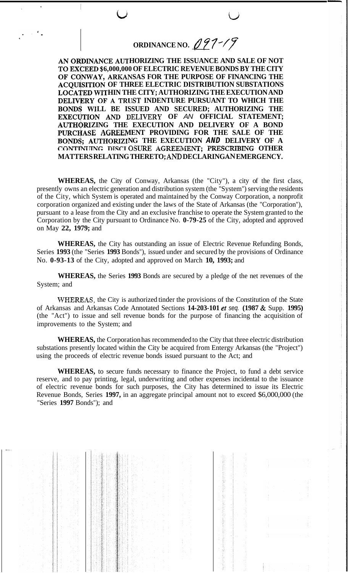**ORDINANCE NO.** <u>*<i>d*</u> 97-/9</u>

AN ORDINANCE AUTHORIZING THE ISSUANCE AND SALE OF NOT **6,000,000 OF ELECTRIC REVENUE BONDS BY THE CITY**  OF CONWAY, ARKANSAS FOR THE PURPOSE OF FINANCING THE **OF THREE ELECTRIC DISTRIBUTION SUBSTATIONS**  LOCATED WITHIN THE CITY; AUTHORIZING THE EXECUTION AND **DELIVERY OF A TRUST INDENTURE PURSUANT TO WHICH THE** BONDS WILL BE ISSUED AND SECURED; AUTHORIZING THE EXECUTION AND DELIVERY OF AN OFFICIAL STATEMENT; AUTHORIZING THE EXECUTION AND DELIVERY OF A BOND PURCHASE AGREEMENT PROVIDING FOR THE SALE OF THE BONDS; AUTHORIZING THE EXECUTION AND DELIVERY OF A **CONTINUING DISCLOSURE AGREEMENT; PRESCRIBING OTHER MATTERS RELATING THERETO;** *AND* **DECLARING** *AN* **EMERGENCY.** 

**WHEREAS,** the City of Conway, Arkansas (the "City"), a city of the first class, presently owns an electric generation and distribution system (the "System") serving the residents of the City, which System is operated and maintained by the Conway Corporation, a nonprofit corporation organized and existing under the laws of the State of Arkansas (the "Corporation"), pursuant to a lease from the City and an exclusive franchise to operate the System granted to the Corporation by the City pursuant to Ordinance No. **0-79-25** of the City, adopted and approved on May **22, 1979;** and

**WHEREAS,** the City has outstanding an issue of Electric Revenue Refunding Bonds, Series **1993** (the "Series **1993** Bonds"), issued under and secured by the provisions of Ordinance No. **0-93-13** of the City, adopted and approved on March **10, 1993;** and

**WHEREAS,** the Series **1993** Bonds are secured by a pledge of the net revenues of the System; and

**WHEREAS,** the City is authorized tinder the provisions of the Constitution of the State of Arkansas and Arkansas Code Annotated Sections **14-203-101** *et seq.* **(1987** & Supp. **1995)**  (the "Act") to issue and sell revenue bonds for the purpose of financing the acquisition of improvements to the System; and

**WHEREAS,** the Corporation has recommended to the City that three electric distribution substations presently located within the City be acquired from Entergy Arkansas (the "Project") using the proceeds of electric revenue bonds issued pursuant to the Act; and

**WHEREAS,** to secure funds necessary to finance the Project, to fund a debt service reserve, and to pay printing, legal, underwriting and other expenses incidental to the issuance of electric revenue bonds for such purposes, the City has determined to issue its Electric Revenue Bonds, Series **1997,** in an aggregate principal amount not to exceed \$6,000,000 (the "Series **1997** Bonds"); and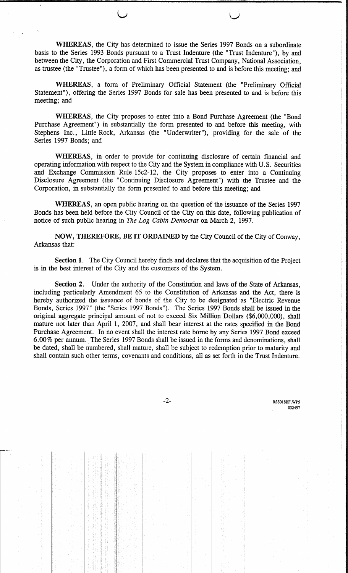WHEREAS, the City has determined to issue the Series 1997 Bonds on a subordinate basis to the Series 1993 Bonds pursuant to a Trust Indenture (the "Trust Indenture"), by and between the City, the Corporation and First Commercial Trust Company, National Association, as trustee (the "Trustee"), a form of which has been presented to and is before this meeting; and

WHEREAS, a form of Preliminary Official Statement (the "Preliminary Official Statement"), offering the Series 1997 Bonds for sale has been presented to and is before this meeting; and

WHEREAS, the City proposes to enter into a Bond Purchase Agreement (the "Bond Purchase Agreement") in substantially the form presented to and before this meeting, with Stephens Inc., Little Rock, Arkansas (the "Underwriter"), providing for the sale of the Series 1997 Bonds; and

WHEREAS, in order to provide for continuing disclosure of certain financial and operating information with respect to the City and the System in compliance with U.S. Securities and Exchange Commission Rule 15c2-12, the City proposes to enter into a Continuing Disclosure Agreement (the "Continuing Disclosure Agreement") with the Trustee and the Corporation, in substantially the form presented to and before this meeting; and

WHEREAS, an open public hearing on the question of the issuance of the Series 1997 Bonds has been held before the City Council of the City on this date, following publication of notice of such public hearing in The Log Cabin Democrat on March 2, 1997.

NOW, THEREFORE, BE IT ORDAINED by the City Council of the City of Conway, Arkansas that:

Section 1. The City Council hereby finds and declares that the acquisition of the Project is in the best interest of the City and the customers of the System.

Section 2. Under the authority of the Constitution and laws of the State of Arkansas, including particularly Amendment 65 to the Constitution of Arkansas and the Act, there is hereby authorized the issuance of bonds of the City to be designated as "Electric Revenue Bonds, Series 1997" (the "Series 1997 Bonds"). The Series 1997 Bonds shall be issued in the original aggregate principal amount of not to exceed Six Million Dollars (\$6,000,000), shall mature not later than April 1, 2007, and shall bear interest at the rates specified in the Bond Purchase Agreement. In no event shall the interest rate borne by any Series 1997 Bond exceed 6.00% per annum. The Series 1997 Bonds shall be issued in the forms and denominations, shall be dated, shall be numbered, shall mature, shall be subject to redemption prior to maturity and shall contain such other terms, covenants and conditions, all as set forth in the Trust Indenture.

 $-2-$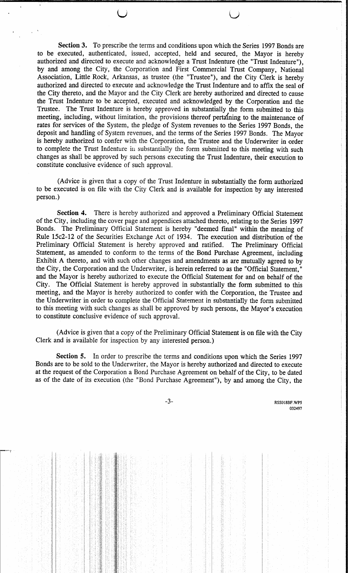Section 3. To prescribe the terms and conditions upon which the Series 1997 Bonds are to be executed, authenticated, issued, accepted, held and secured, the Mayor is hereby authorized and directed to execute and acknowledge a Trust Indenture (the "Trust Indenture"), by and among the City, the Corporation and First Commercial Trust Company, National Association, Little Rock, Arkansas, as trustee (the "Trustee"), and the City Clerk is hereby authorized and directed to execute and acknowledge the Trust Indenture and to affix the seal of the City thereto, and the Mayor and the City Clerk are hereby authorized and directed to cause the Trust Indenture to be accepted, executed and acknowledged by the Corporation and the Trustee. The Trust Indenture is hereby approved in substantially the form submitted to this meeting, including, without limitation, the provisions thereof pertaining to the maintenance of rates for services of the System, the pledge of System revenues to the Series 1997 Bonds, the deposit and handling of System revenues, and the terms of the Series 1997 Bonds. The Mayor is hereby authorized to confer with the Corporation, the Trustee and the Underwriter in order to complete the Trust Indenture in substantially the form submitted to this meeting with such changes as shall be approved by such persons executing the Trust Indenture, their execution to constitute conclusive evidence of such approval.

(Advice is given that a copy of the Trust Indenture in substantially the form authorized to be executed is on file with the City Clerk and is available for inspection by any interested person.)

Section 4. There is hereby authorized and approved a Preliminary Official Statement of the City, including the cover page and appendices attached thereto, relating to the Series 1997 Bonds. The Preliminary Official Statement is hereby "deemed final" within the meaning of Rule 15c2-12 of the Securities Exchange Act of 1934. The execution and distribution of the Preliminary Official Statement is hereby approved and ratified. The Preliminary Official Statement, as amended to conform to the terms of the Bond Purchase Agreement, including Exhibit A thereto, and with such other changes and amendments as are mutually agreed to by the City, the Corporation and the Underwriter, is herein referred to as the "Official Statement," and the Mayor is hereby authorized to execute the Official Statement for and on behalf of the City. The Official Statement is hereby approved in substantially the form submitted to this meeting, and the Mayor is hereby authorized to confer with the Corporation, the Trustee and the Underwriter in order to complete the Official Statement in substantially the form submitted to this meeting with such changes as shall be approved by such persons, the Mayor's execution to constitute conclusive evidence of such approval.

(Advice is given that a copy of the Preliminary Official Statement is on file with the City Clerk and is available for inspection by any interested person.)

Section 5. In order to prescribe the terms and conditions upon which the Series 1997 Bonds are to be sold to the Underwriter, the Mayor is hereby authorized and directed to execute at the request of the Corporation a Bond Purchase Agreement on behalf of the City, to be dated as of the date of its execution (the "Bond Purchase Agreement"), by and among the City, the

 $-3-$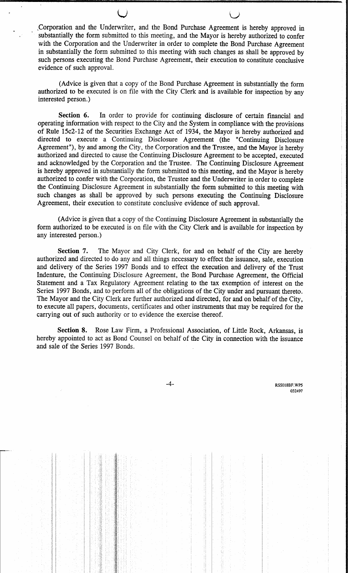Corporation and the Underwriter, and the Bond Purchase Agreement is hereby approved in substantially the form submitted to this meeting, and the Mayor is hereby authorized to confer with the Corporation and the Underwriter in order to complete the Bond Purchase Agreement in substantially the form submitted to this meeting with such changes as shall be approved by such persons executing the Bond Purchase Agreement, their execution to constitute conclusive evidence of such approval.

(Advice is given that a copy of the Bond Purchase Agreement in substantially the form authorized to be executed is on file with the City Clerk and is available for inspection by any interested person.)

Section 6. In order to provide for continuing disclosure of certain financial and operating information with respect to the City and the System in compliance with the provisions of Rule 15c2-12 of the Securities Exchange Act of 1934, the Mayor is hereby authorized and directed to execute a Continuing Disclosure Agreement (the "Continuing Disclosure Agreement"), by and among the City, the Corporation and the Trustee, and the Mayor is hereby authorized and directed to cause the Continuing Disclosure Agreement to be accepted, executed and acknowledged by the Corporation and the Trustee. The Continuing Disclosure Agreement is hereby approved in substantially the form submitted to this meeting, and the Mayor is hereby authorized to confer with the Corporation, the Trustee and the Underwriter in order to complete the Continuing Disclosure Agreement in substantially the form submitted to this meeting with such changes as shall be approved by such persons executing the Continuing Disclosure Agreement, their execution to constitute conclusive evidence of such approval.

(Advice is given that a copy of the Continuing Disclosure Agreement in substantially the form authorized to be executed is on file with the City Clerk and is available for inspection by any interested person.)

The Mayor and City Clerk, for and on behalf of the City are hereby Section 7. authorized and directed to do any and all things necessary to effect the issuance, sale, execution and delivery of the Series 1997 Bonds and to effect the execution and delivery of the Trust Indenture, the Continuing Disclosure Agreement, the Bond Purchase Agreement, the Official Statement and a Tax Regulatory Agreement relating to the tax exemption of interest on the Series 1997 Bonds, and to perform all of the obligations of the City under and pursuant thereto. The Mayor and the City Clerk are further authorized and directed, for and on behalf of the City, to execute all papers, documents, certificates and other instruments that may be required for the carrying out of such authority or to evidence the exercise thereof.

Section 8. Rose Law Firm, a Professional Association, of Little Rock, Arkansas, is hereby appointed to act as Bond Counsel on behalf of the City in connection with the issuance and sale of the Series 1997 Bonds.

 $-4-$